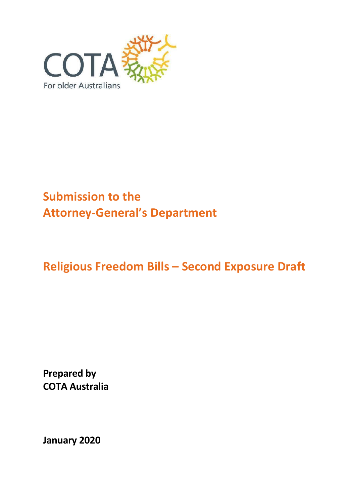

# **Submission to the Attorney-General's Department**

# **Religious Freedom Bills – Second Exposure Draft**

**Prepared by COTA Australia**

**January 2020**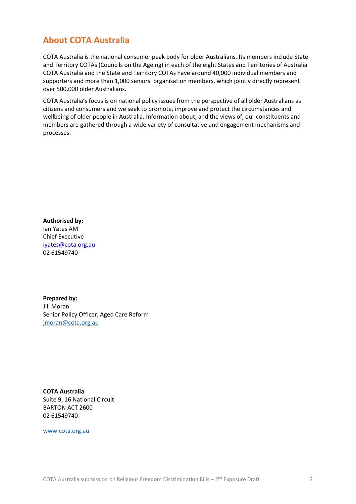## <span id="page-1-0"></span>**About COTA Australia**

COTA Australia is the national consumer peak body for older Australians. Its members include State and Territory COTAs (Councils on the Ageing) in each of the eight States and Territories of Australia. COTA Australia and the State and Territory COTAs have around 40,000 individual members and supporters and more than 1,000 seniors' organisation members, which jointly directly represent over 500,000 older Australians.

COTA Australia's focus is on national policy issues from the perspective of all older Australians as citizens and consumers and we seek to promote, improve and protect the circumstances and wellbeing of older people in Australia. Information about, and the views of, our constituents and members are gathered through a wide variety of consultative and engagement mechanisms and processes.

**Authorised by:** Ian Yates AM Chief Executive [iyates@cota.org.au](mailto:iyates@cota.org.au)  02 61549740

**Prepared by:** Jill Moran Senior Policy Officer, Aged Care Reform [jmoran@cota.org.au](mailto:jmoran@cota.org.au)

**COTA Australia** Suite 9, 16 National Circuit BARTON ACT 2600 02 61549740

[www.cota.org.au](http://www.cota.org.au/)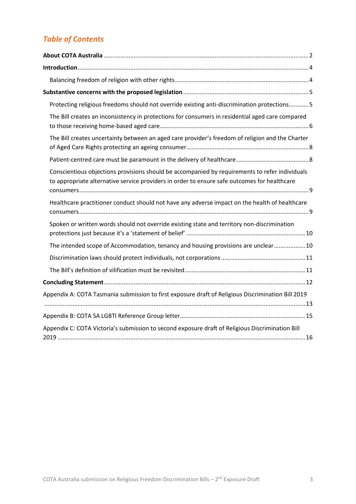# *Table of Contents*

| Protecting religious freedoms should not override existing anti-discrimination protections 5                                                                                                   |
|------------------------------------------------------------------------------------------------------------------------------------------------------------------------------------------------|
| The Bill creates an inconsistency in protections for consumers in residential aged care compared                                                                                               |
| The Bill creates uncertainty between an aged care provider's freedom of religion and the Charter                                                                                               |
|                                                                                                                                                                                                |
| Conscientious objections provisions should be accompanied by requirements to refer individuals<br>to appropriate alternative service providers in order to ensure safe outcomes for healthcare |
| Healthcare practitioner conduct should not have any adverse impact on the health of healthcare                                                                                                 |
| Spoken or written words should not override existing state and territory non-discrimination                                                                                                    |
| The intended scope of Accommodation, tenancy and housing provisions are unclear 10                                                                                                             |
|                                                                                                                                                                                                |
|                                                                                                                                                                                                |
|                                                                                                                                                                                                |
| Appendix A: COTA Tasmania submission to first exposure draft of Religious Discrimination Bill 2019                                                                                             |
|                                                                                                                                                                                                |
| Appendix C: COTA Victoria's submission to second exposure draft of Religious Discrimination Bill                                                                                               |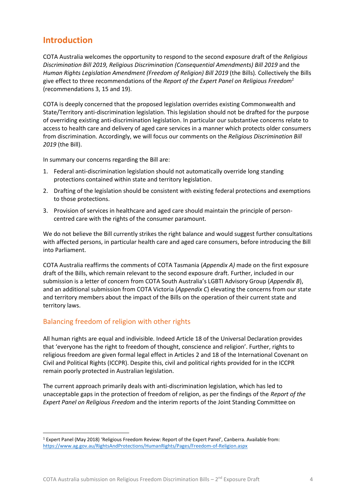## <span id="page-3-0"></span>**Introduction**

COTA Australia welcomes the opportunity to respond to the second exposure draft of the *Religious Discrimination Bill 2019, Religious Discrimination (Consequential Amendments) Bill 2019* and the *Human Rights Legislation Amendment (Freedom of Religion) Bill 2019* (the Bills)*.* Collectively the Bills give effect to three recommendations of the *Report of the Expert Panel on Religious Freedom<sup>1</sup>* (recommendations 3, 15 and 19).

COTA is deeply concerned that the proposed legislation overrides existing Commonwealth and State/Territory anti-discrimination legislation. This legislation should not be drafted for the purpose of overriding existing anti-discrimination legislation. In particular our substantive concerns relate to access to health care and delivery of aged care services in a manner which protects older consumers from discrimination. Accordingly, we will focus our comments on the *Religious Discrimination Bill 2019* (the Bill).

In summary our concerns regarding the Bill are:

- 1. Federal anti-discrimination legislation should not automatically override long standing protections contained within state and territory legislation.
- 2. Drafting of the legislation should be consistent with existing federal protections and exemptions to those protections.
- 3. Provision of services in healthcare and aged care should maintain the principle of personcentred care with the rights of the consumer paramount.

We do not believe the Bill currently strikes the right balance and would suggest further consultations with affected persons, in particular health care and aged care consumers, before introducing the Bill into Parliament.

COTA Australia reaffirms the comments of COTA Tasmania (*Appendix A)* made on the first exposure draft of the Bills, which remain relevant to the second exposure draft. Further, included in our submission is a letter of concern from COTA South Australia's LGBTI Advisory Group (*Appendix B*), and an additional submission from COTA Victoria (*Appendix C*) elevating the concerns from our state and territory members about the impact of the Bills on the operation of their current state and territory laws.

#### <span id="page-3-1"></span>Balancing freedom of religion with other rights

All human rights are equal and indivisible. Indeed Article 18 of the Universal Declaration provides that 'everyone has the right to freedom of thought, conscience and religion'. Further, rights to religious freedom are given formal legal effect in Articles 2 and 18 of the International Covenant on Civil and Political Rights (ICCPR). Despite this, civil and political rights provided for in the ICCPR remain poorly protected in Australian legislation.

The current approach primarily deals with anti-discrimination legislation, which has led to unacceptable gaps in the protection of freedom of religion, as per the findings of the *Report of the Expert Panel on Religious Freedom* and the interim reports of the Joint Standing Committee on

<sup>1</sup> Expert Panel (May 2018) 'Religious Freedom Review: Report of the Expert Panel', Canberra. Available from: <https://www.ag.gov.au/RightsAndProtections/HumanRights/Pages/Freedom-of-Religion.aspx>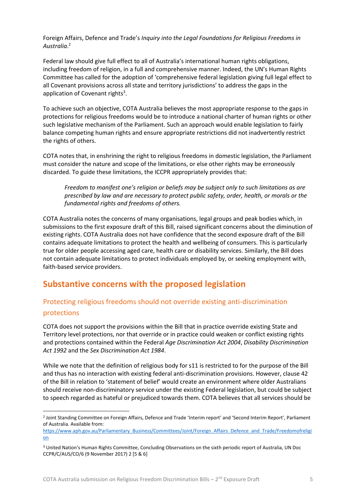Foreign Affairs, Defence and Trade's *Inquiry into the Legal Foundations for Religious Freedoms in Australia*. 2

Federal law should give full effect to all of Australia's international human rights obligations, including freedom of religion, in a full and comprehensive manner. Indeed, the UN's Human Rights Committee has called for the adoption of 'comprehensive federal legislation giving full legal effect to all Covenant provisions across all state and territory jurisdictions' to address the gaps in the application of Covenant rights<sup>3</sup>.

To achieve such an objective, COTA Australia believes the most appropriate response to the gaps in protections for religious freedoms would be to introduce a national charter of human rights or other such legislative mechanism of the Parliament. Such an approach would enable legislation to fairly balance competing human rights and ensure appropriate restrictions did not inadvertently restrict the rights of others.

COTA notes that, in enshrining the right to religious freedoms in domestic legislation, the Parliament must consider the nature and scope of the limitations, or else other rights may be erroneously discarded. To guide these limitations, the ICCPR appropriately provides that:

*Freedom to manifest one's religion or beliefs may be subject only to such limitations as are prescribed by law and are necessary to protect public safety, order, health, or morals or the fundamental rights and freedoms of others.*

COTA Australia notes the concerns of many organisations, legal groups and peak bodies which, in submissions to the first exposure draft of this Bill, raised significant concerns about the diminution of existing rights. COTA Australia does not have confidence that the second exposure draft of the Bill contains adequate limitations to protect the health and wellbeing of consumers. This is particularly true for older people accessing aged care, health care or disability services. Similarly, the Bill does not contain adequate limitations to protect individuals employed by, or seeking employment with, faith-based service providers.

## <span id="page-4-0"></span>**Substantive concerns with the proposed legislation**

## <span id="page-4-1"></span>Protecting religious freedoms should not override existing anti-discrimination protections

COTA does not support the provisions within the Bill that in practice override existing State and Territory level protections, nor that override or in practice could weaken or conflict existing rights and protections contained within the Federal *Age Discrimination Act 2004*, *Disability Discrimination Act 1992* and the *Sex Discrimination Act 1984*.

While we note that the definition of religious body for s11 is restricted to for the purpose of the Bill and thus has no interaction with existing federal anti-discrimination provisions. However, clause 42 of the Bill in relation to 'statement of belief' would create an environment where older Australians should receive non-discriminatory service under the existing Federal legislation, but could be subject to speech regarded as hateful or prejudiced towards them. COTA believes that all services should be

<sup>2</sup> Joint Standing Committee on Foreign Affairs, Defence and Trade 'Interim report' and 'Second Interim Report', Parliament of Australia. Available from:

[https://www.aph.gov.au/Parliamentary\\_Business/Committees/Joint/Foreign\\_Affairs\\_Defence\\_and\\_Trade/Freedomofreligi](https://www.aph.gov.au/Parliamentary_Business/Committees/Joint/Foreign_Affairs_Defence_and_Trade/Freedomofreligion) [on](https://www.aph.gov.au/Parliamentary_Business/Committees/Joint/Foreign_Affairs_Defence_and_Trade/Freedomofreligion)

<sup>3</sup> United Nation's Human Rights Committee, Concluding Observations on the sixth periodic report of Australia, UN Doc CCPR/C/AUS/CO/6 (9 November 2017) 2 [5 & 6]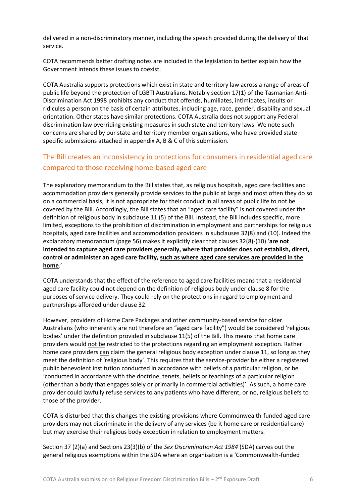delivered in a non-discriminatory manner, including the speech provided during the delivery of that service.

COTA recommends better drafting notes are included in the legislation to better explain how the Government intends these issues to coexist.

COTA Australia supports protections which exist in state and territory law across a range of areas of public life beyond the protection of LGBTI Australians. Notably section 17(1) of the Tasmanian Anti-Discrimination Act 1998 prohibits any conduct that offends, humiliates, intimidates, insults or ridicules a person on the basis of certain attributes, including age, race, gender, disability and sexual orientation. Other states have similar protections. COTA Australia does not support any Federal discrimination law overriding existing measures in such state and territory laws. We note such concerns are shared by our state and territory member organisations, who have provided state specific submissions attached in appendix A, B & C of this submission.

### <span id="page-5-0"></span>The Bill creates an inconsistency in protections for consumers in residential aged care compared to those receiving home-based aged care

The explanatory memorandum to the Bill states that, as religious hospitals, aged care facilities and accommodation providers generally provide services to the public at large and most often they do so on a commercial basis, it is not appropriate for their conduct in all areas of public life to not be covered by the Bill. Accordingly, the Bill states that an "aged care facility" is not covered under the definition of religious body in subclause 11 (5) of the Bill. Instead, the Bill includes specific, more limited, exceptions to the prohibition of discrimination in employment and partnerships for religious hospitals, aged care facilities and accommodation providers in subclauses 32(8) and (10). Indeed the explanatory memorandum (page 56) makes it explicitly clear that clauses 32(8)-(10) '**are not intended to capture aged care providers generally, where that provider does not establish, direct, control or administer an aged care facility, such as where aged care services are provided in the home**.'

COTA understands that the effect of the reference to aged care facilities means that a residential aged care facility could not depend on the definition of religious body under clause 8 for the purposes of service delivery. They could rely on the protections in regard to employment and partnerships afforded under clause 32.

However, providers of Home Care Packages and other community-based service for older Australians (who inherently are not therefore an "aged care facility") would be considered 'religious bodies' under the definition provided in subclause 11(5) of the Bill. This means that home care providers would not be restricted to the protections regarding an employment exception. Rather home care providers can claim the general religious body exception under clause 11, so long as they meet the definition of 'religious body'. This requires that the service-provider be either a registered public benevolent institution conducted in accordance with beliefs of a particular religion, or be 'conducted in accordance with the doctrine, tenets, beliefs or teachings of a particular religion (other than a body that engages solely or primarily in commercial activities)'. As such, a home care provider could lawfully refuse services to any patients who have different, or no, religious beliefs to those of the provider.

COTA is disturbed that this changes the existing provisions where Commonwealth-funded aged care providers may not discriminate in the delivery of any services (be it home care or residential care) but may exercise their religious body exception in relation to employment matters.

Section 37 (2)(a) and Sections 23(3)(b) of the *Sex Discrimination Act 1984* (SDA) carves out the general religious exemptions within the SDA where an organisation is a 'Commonwealth-funded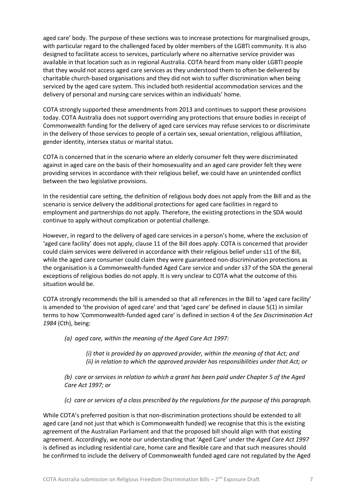aged care' body. The purpose of these sections was to increase protections for marginalised groups, with particular regard to the challenged faced by older members of the LGBTI community. It is also designed to facilitate access to services, particularly where no alternative service provider was available in that location such as in regional Australia. COTA heard from many older LGBTI people that they would not access aged care services as they understood them to often be delivered by charitable church-based organisations and they did not wish to suffer discrimination when being serviced by the aged care system. This included both residential accommodation services and the delivery of personal and nursing care services within an individuals' home.

COTA strongly supported these amendments from 2013 and continues to support these provisions today. COTA Australia does not support overriding any protections that ensure bodies in receipt of Commonwealth funding for the delivery of aged care services may refuse services to or discriminate in the delivery of those services to people of a certain sex, sexual orientation, religious affiliation, gender identity, intersex status or marital status.

COTA is concerned that in the scenario where an elderly consumer felt they were discriminated against in aged care on the basis of their homosexuality and an aged care provider felt they were providing services in accordance with their religious belief, we could have an unintended conflict between the two legislative provisions.

In the residential care setting, the definition of religious body does not apply from the Bill and as the scenario is service delivery the additional protections for aged care facilities in regard to employment and partnerships do not apply. Therefore, the existing protections in the SDA would continue to apply without complication or potential challenge.

However, in regard to the delivery of aged care services in a person's home, where the exclusion of 'aged care facility' does not apply, clause 11 of the Bill does apply. COTA is concerned that provider could claim services were delivered in accordance with their religious belief under s11 of the Bill, while the aged care consumer could claim they were guaranteed non-discrimination protections as the organisation is a Commonwealth-funded Aged Care service and under s37 of the SDA the general exceptions of religious bodies do not apply. It is very unclear to COTA what the outcome of this situation would be.

COTA strongly recommends the bill is amended so that all references in the Bill to 'aged care facility' is amended to 'the provision of aged care' and that 'aged care' be defined in clause 5(1) in similar terms to how 'Commonwealth-funded aged care' is defined in section 4 of the *Sex Discrimination Act 1984* (Cth), being:

*(a) aged care, within the meaning of the Aged Care Act 1997:* 

*(i) that is provided by an approved provider, within the meaning of that Act; and (ii) in relation to which the approved provider has responsibilities under that Act; or* 

*(b) care or services in relation to which a grant has been paid under Chapter 5 of the Aged Care Act 1997; or* 

*(c) care or services of a class prescribed by the regulations for the purpose of this paragraph.* 

While COTA's preferred position is that non-discrimination protections should be extended to all aged care (and not just that which is Commonwealth funded) we recognise that this is the existing agreement of the Australian Parliament and that the proposed bill should align with that existing agreement. Accordingly, we note our understanding that 'Aged Care' under the *Aged Care Act 1997* is defined as including residential care, home care and flexible care and that such measures should be confirmed to include the delivery of Commonwealth funded aged care not regulated by the Aged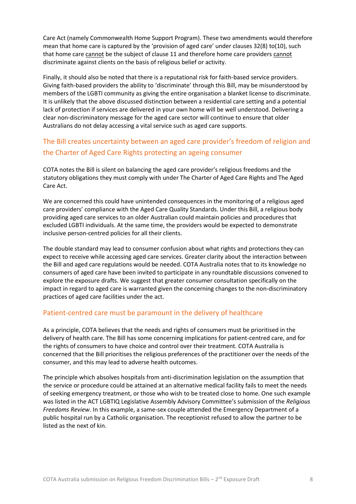Care Act (namely Commonwealth Home Support Program). These two amendments would therefore mean that home care is captured by the 'provision of aged care' under clauses 32(8) to(10), such that home care cannot be the subject of clause 11 and therefore home care providers cannot discriminate against clients on the basis of religious belief or activity.

Finally, it should also be noted that there is a reputational risk for faith-based service providers. Giving faith-based providers the ability to 'discriminate' through this Bill, may be misunderstood by members of the LGBTI community as giving the entire organisation a blanket license to discriminate. It is unlikely that the above discussed distinction between a residential care setting and a potential lack of protection if services are delivered in your own home will be well understood. Delivering a clear non-discriminatory message for the aged care sector will continue to ensure that older Australians do not delay accessing a vital service such as aged care supports.

## <span id="page-7-0"></span>The Bill creates uncertainty between an aged care provider's freedom of religion and the Charter of Aged Care Rights protecting an ageing consumer

COTA notes the Bill is silent on balancing the aged care provider's religious freedoms and the statutory obligations they must comply with under The Charter of Aged Care Rights and The Aged Care Act.

We are concerned this could have unintended consequences in the monitoring of a religious aged care providers' compliance with the Aged Care Quality Standards. Under this Bill, a religious body providing aged care services to an older Australian could maintain policies and procedures that excluded LGBTI individuals. At the same time, the providers would be expected to demonstrate inclusive person-centred policies for all their clients.

The double standard may lead to consumer confusion about what rights and protections they can expect to receive while accessing aged care services. Greater clarity about the interaction between the Bill and aged care regulations would be needed. COTA Australia notes that to its knowledge no consumers of aged care have been invited to participate in any roundtable discussions convened to explore the exposure drafts. We suggest that greater consumer consultation specifically on the impact in regard to aged care is warranted given the concerning changes to the non-discriminatory practices of aged care facilities under the act.

#### <span id="page-7-1"></span>Patient-centred care must be paramount in the delivery of healthcare

As a principle, COTA believes that the needs and rights of consumers must be prioritised in the delivery of health care. The Bill has some concerning implications for patient-centred care, and for the rights of consumers to have choice and control over their treatment. COTA Australia is concerned that the Bill prioritises the religious preferences of the practitioner over the needs of the consumer, and this may lead to adverse health outcomes.

The principle which absolves hospitals from anti-discrimination legislation on the assumption that the service or procedure could be attained at an alternative medical facility fails to meet the needs of seeking emergency treatment, or those who wish to be treated close to home. One such example was listed in the ACT LGBTIQ Legislative Assembly Advisory Committee's submission of the *Religious Freedoms Review*. In this example, a same-sex couple attended the Emergency Department of a public hospital run by a Catholic organisation. The receptionist refused to allow the partner to be listed as the next of kin.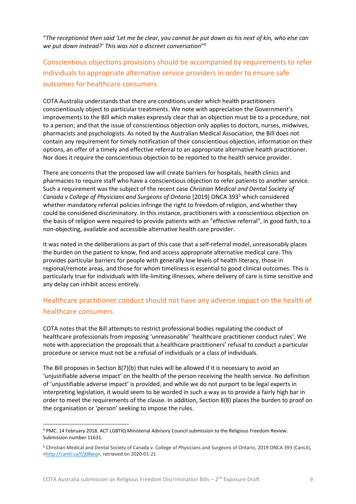"*The receptionist then said 'Let me be clear, you cannot be put down as his next of kin, who else can we put down instead?' This was not a discreet conversation*" 4

## <span id="page-8-0"></span>Conscientious objections provisions should be accompanied by requirements to refer individuals to appropriate alternative service providers in order to ensure safe outcomes for healthcare consumers

COTA Australia understands that there are conditions under which health practitioners conscientiously object to particular treatments. We note with appreciation the Government's improvements to the Bill which makes expressly clear that an objection must be to a procedure, not to a person; and that the issue of conscientious objection only applies to doctors, nurses, midwives, pharmacists and psychologists. As noted by the Australian Medical Association, the Bill does not contain any requirement for timely notification of their conscientious objection, information on their options, an offer of a timely and effective referral to an appropriate alternative health practitioner. Nor does it require the conscientious objection to be reported to the health service provider.

There are concerns that the proposed law will create barriers for hospitals, health clinics and pharmacies to require staff who have a conscientious objection to refer patients to another service. Such a requirement was the subject of the recent case *Christian Medical and Dental Society of Canada v College of Physicians and Surgeons of Ontario* [2019] ONCA 393<sup>5</sup> which considered whether mandatory referral policies infringe the right to freedom of religion, and whether they could be considered discriminatory. In this instance, practitioners with a conscientious objection on the basis of religion were required to provide patients with an "effective referral", in good faith, to a non-objecting, available and accessible alternative health care provider.

It was noted in the deliberations as part of this case that a self-referral model, unreasonably places the burden on the patient to know, find and access appropriate alternative medical care. This provides particular barriers for people with generally low levels of health literacy, those in regional/remote areas, and those for whom timeliness is essential to good clinical outcomes. This is particularly true for individuals with life-limiting illnesses, where delivery of care is time sensitive and any delay can inhibit access entirely.

## <span id="page-8-1"></span>Healthcare practitioner conduct should not have any adverse impact on the health of healthcare consumers

COTA notes that the Bill attempts to restrict professional bodies regulating the conduct of healthcare professionals from imposing 'unreasonable' 'healthcare practitioner conduct rules'. We note with appreciation the proposals that a healthcare practitioners' refusal to conduct a particular procedure or service must not be a refusal of individuals or a class of individuals.

The Bill proposes in Section  $8(7)(b)$  that rules will be allowed if it is necessary to avoid an 'unjustifiable adverse impact' on the health of the person receiving the health service. No definition of 'unjustifiable adverse impact' is provided, and while we do not purport to be legal experts in interpreting legislation, it would seem to be worded in such a way as to provide a fairly high bar in order to meet the requirements of the clause. In addition, Section 8(8) places the burden to proof on the organisation or 'person' seeking to impose the rules.

<sup>4</sup> PMC. 14 February 2018. ACT LGBTIQ Ministerial Advisory Council submission to the Religious Freedom Review. Submission number 11631.

<sup>5</sup> Christian Medical and Dental Society of Canada v. College of Physicians and Surgeons of Ontario, 2019 ONCA 393 (CanLII), [<http://canlii.ca/t/j08wq>](http://canlii.ca/t/j08wq), retrieved on 2020-01-21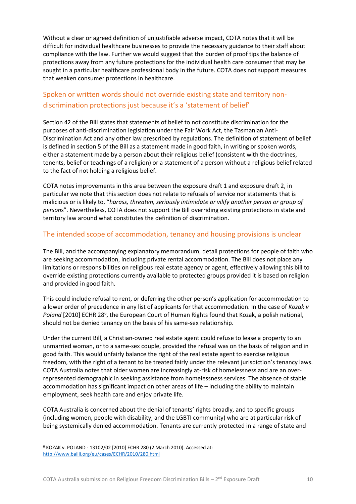Without a clear or agreed definition of unjustifiable adverse impact, COTA notes that it will be difficult for individual healthcare businesses to provide the necessary guidance to their staff about compliance with the law. Further we would suggest that the burden of proof tips the balance of protections away from any future protections for the individual health care consumer that may be sought in a particular healthcare professional body in the future. COTA does not support measures that weaken consumer protections in healthcare.

## <span id="page-9-0"></span>Spoken or written words should not override existing state and territory nondiscrimination protections just because it's a 'statement of belief'

Section 42 of the Bill states that statements of belief to not constitute discrimination for the purposes of anti-discrimination legislation under the Fair Work Act, the Tasmanian Anti-Discrimination Act and any other law prescribed by regulations. The definition of statement of belief is defined in section 5 of the Bill as a statement made in good faith, in writing or spoken words, either a statement made by a person about their religious belief (consistent with the doctrines, tenents, belief or teachings of a religion) or a statement of a person without a religious belief related to the fact of not holding a religious belief.

COTA notes improvements in this area between the exposure draft 1 and exposure draft 2, in particular we note that this section does not relate to refusals of service nor statements that is malicious or is likely to, "*harass, threaten, seriously intimidate or vilify another person or group of person*s". Nevertheless, COTA does not support the Bill overriding existing protections in state and territory law around what constitutes the definition of discrimination.

#### <span id="page-9-1"></span>The intended scope of accommodation, tenancy and housing provisions is unclear

The Bill, and the accompanying explanatory memorandum, detail protections for people of faith who are seeking accommodation, including private rental accommodation. The Bill does not place any limitations or responsibilities on religious real estate agency or agent, effectively allowing this bill to override existing protections currently available to protected groups provided it is based on religion and provided in good faith.

This could include refusal to rent, or deferring the other person's application for accommodation to a lower order of precedence in any list of applicants for that accommodation. In the case of *Kozak v*  Poland [2010] ECHR 28<sup>6</sup>, the European Court of Human Rights found that Kozak, a polish national, should not be denied tenancy on the basis of his same-sex relationship.

Under the current Bill, a Christian-owned real estate agent could refuse to lease a property to an unmarried woman, or to a same-sex couple, provided the refusal was on the basis of religion and in good faith. This would unfairly balance the right of the real estate agent to exercise religious freedom, with the right of a tenant to be treated fairly under the relevant jurisdiction's tenancy laws. COTA Australia notes that older women are increasingly at-risk of homelessness and are an overrepresented demographic in seeking assistance from homelessness services. The absence of stable accommodation has significant impact on other areas of life – including the ability to maintain employment, seek health care and enjoy private life.

COTA Australia is concerned about the denial of tenants' rights broadly, and to specific groups (including women, people with disability, and the LGBTI community) who are at particular risk of being systemically denied accommodation. Tenants are currently protected in a range of state and

<sup>6</sup> KOZAK v. POLAND - 13102/02 [2010] ECHR 280 (2 March 2010). Accessed at: <http://www.bailii.org/eu/cases/ECHR/2010/280.html>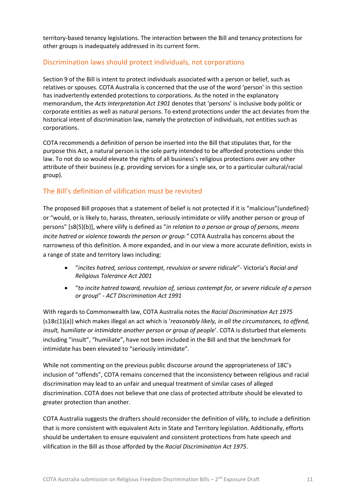territory-based tenancy legislations. The interaction between the Bill and tenancy protections for other groups is inadequately addressed in its current form.

#### <span id="page-10-0"></span>Discrimination laws should protect individuals, not corporations

Section 9 of the Bill is intent to protect individuals associated with a person or belief, such as relatives or spouses. COTA Australia is concerned that the use of the word 'person' in this section has inadvertently extended protections to corporations. As the noted in the explanatory memorandum, the *Acts Interpretation Act 1901* denotes that 'persons' is inclusive body politic or corporate entities as well as natural persons. To extend protections under the act deviates from the historical intent of discrimination law, namely the protection of individuals, not entities such as corporations.

COTA recommends a definition of person be inserted into the Bill that stipulates that, for the purpose this Act, a natural person is the sole party intended to be afforded protections under this law. To not do so would elevate the rights of all business's religious protections over any other attribute of their business (e.g. providing services for a single sex, or to a particular cultural/racial group).

#### <span id="page-10-1"></span>The Bill's definition of vilification must be revisited

The proposed Bill proposes that a statement of belief is not protected if it is "malicious"(undefined) or "would, or is likely to, harass, threaten, seriously intimidate or vilify another person or group of persons" [s8(5)(b)], where vilify is defined as "*in relation to a person or group of persons, means incite hatred or violence towards the person or group."* COTA Australia has concerns about the narrowness of this definition. A more expanded, and in our view a more accurate definition, exists in a range of state and territory laws including:

- "*incites hatred, serious contempt, revulsion or severe ridicule*"- Victoria's *Racial and Religious Tolerance Act 2001*
- "*to incite hatred toward, revulsion of, serious contempt for, or severe ridicule of a person or group*" *- ACT Discrimination Act 1991*

With regards to Commonwealth law, COTA Australia notes the *Racial Discrimination Act 1975* (s18c(1)(a)) which makes illegal an act which is '*reasonably likely, in all the circumstances, to offend, insult, humiliate or intimidate another person or group of people*'. COTA is disturbed that elements including "insult", "humiliate", have not been included in the Bill and that the benchmark for intimidate has been elevated to "seriously intimidate".

While not commenting on the previous public discourse around the appropriateness of 18C's inclusion of "offends", COTA remains concerned that the inconsistency between religious and racial discrimination may lead to an unfair and unequal treatment of similar cases of alleged discrimination. COTA does not believe that one class of protected attribute should be elevated to greater protection than another.

COTA Australia suggests the drafters should reconsider the definition of vilify, to include a definition that is more consistent with equivalent Acts in State and Territory legislation. Additionally, efforts should be undertaken to ensure equivalent and consistent protections from hate speech and vilification in the Bill as those afforded by the *Racial Discrimination Act 1975*.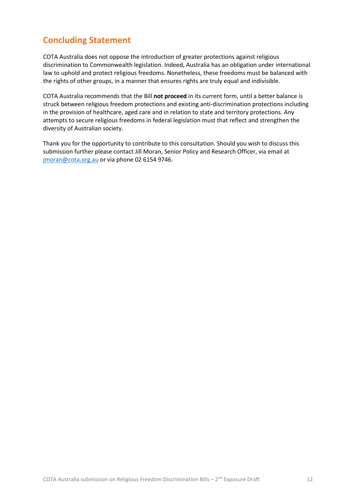# <span id="page-11-0"></span>**Concluding Statement**

COTA Australia does not oppose the introduction of greater protections against religious discrimination to Commonwealth legislation. Indeed, Australia has an obligation under international law to uphold and protect religious freedoms. Nonetheless, these freedoms must be balanced with the rights of other groups, in a manner that ensures rights are truly equal and indivisible.

COTA Australia recommends that the Bill **not proceed** in its current form, until a better balance is struck between religious freedom protections and existing anti-discrimination protections including in the provision of healthcare, aged care and in relation to state and territory protections. Any attempts to secure religious freedoms in federal legislation must that reflect and strengthen the diversity of Australian society.

Thank you for the opportunity to contribute to this consultation. Should you wish to discuss this submission further please contact Jill Moran, Senior Policy and Research Officer, via email at [jmoran@cota.org.au](mailto:jmoran@cota.org.au) or via phone 02 6154 9746.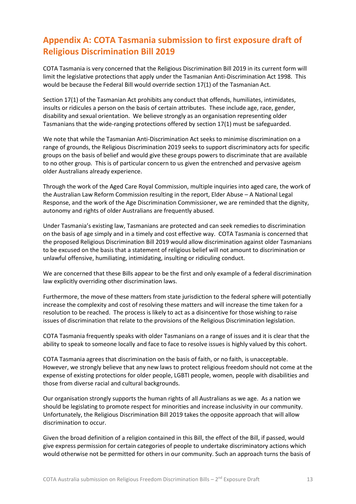# <span id="page-12-0"></span>**Appendix A: COTA Tasmania submission to first exposure draft of Religious Discrimination Bill 2019**

COTA Tasmania is very concerned that the Religious Discrimination Bill 2019 in its current form will limit the legislative protections that apply under the Tasmanian Anti-Discrimination Act 1998. This would be because the Federal Bill would override section 17(1) of the Tasmanian Act.

Section 17(1) of the Tasmanian Act prohibits any conduct that offends, humiliates, intimidates, insults or ridicules a person on the basis of certain attributes. These include age, race, gender, disability and sexual orientation. We believe strongly as an organisation representing older Tasmanians that the wide-ranging protections offered by section 17(1) must be safeguarded.

We note that while the Tasmanian Anti-Discrimination Act seeks to minimise discrimination on a range of grounds, the Religious Discrimination 2019 seeks to support discriminatory acts for specific groups on the basis of belief and would give these groups powers to discriminate that are available to no other group. This is of particular concern to us given the entrenched and pervasive ageism older Australians already experience.

Through the work of the Aged Care Royal Commission, multiple inquiries into aged care, the work of the Australian Law Reform Commission resulting in the report, Elder Abuse – A National Legal Response, and the work of the Age Discrimination Commissioner, we are reminded that the dignity, autonomy and rights of older Australians are frequently abused.

Under Tasmania's existing law, Tasmanians are protected and can seek remedies to discrimination on the basis of age simply and in a timely and cost effective way. COTA Tasmania is concerned that the proposed Religious Discrimination Bill 2019 would allow discrimination against older Tasmanians to be excused on the basis that a statement of religious belief will not amount to discrimination or unlawful offensive, humiliating, intimidating, insulting or ridiculing conduct.

We are concerned that these Bills appear to be the first and only example of a federal discrimination law explicitly overriding other discrimination laws.

Furthermore, the move of these matters from state jurisdiction to the federal sphere will potentially increase the complexity and cost of resolving these matters and will increase the time taken for a resolution to be reached. The process is likely to act as a disincentive for those wishing to raise issues of discrimination that relate to the provisions of the Religious Discrimination legislation.

COTA Tasmania frequently speaks with older Tasmanians on a range of issues and it is clear that the ability to speak to someone locally and face to face to resolve issues is highly valued by this cohort.

COTA Tasmania agrees that discrimination on the basis of faith, or no faith, is unacceptable. However, we strongly believe that any new laws to protect religious freedom should not come at the expense of existing protections for older people, LGBTI people, women, people with disabilities and those from diverse racial and cultural backgrounds.

Our organisation strongly supports the human rights of all Australians as we age. As a nation we should be legislating to promote respect for minorities and increase inclusivity in our community. Unfortunately, the Religious Discrimination Bill 2019 takes the opposite approach that will allow discrimination to occur.

Given the broad definition of a religion contained in this Bill, the effect of the Bill, if passed, would give express permission for certain categories of people to undertake discriminatory actions which would otherwise not be permitted for others in our community. Such an approach turns the basis of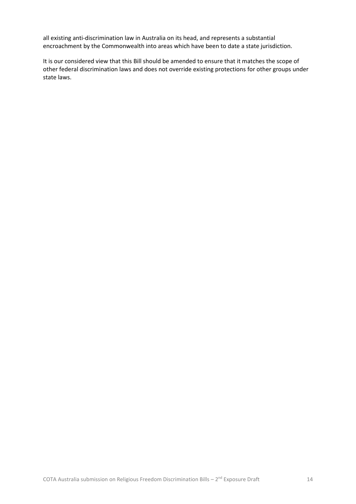all existing anti-discrimination law in Australia on its head, and represents a substantial encroachment by the Commonwealth into areas which have been to date a state jurisdiction.

It is our considered view that this Bill should be amended to ensure that it matches the scope of other federal discrimination laws and does not override existing protections for other groups under state laws.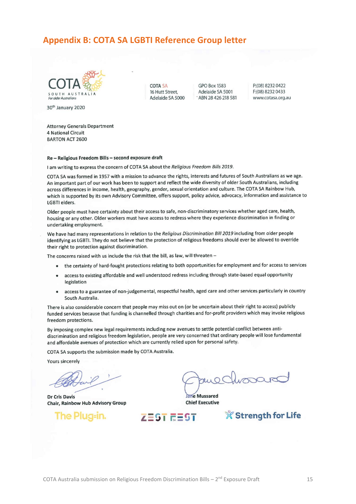## <span id="page-14-0"></span>**Appendix B: COTA SA LGBTI Reference Group letter**

**COTA SA** 

16 Hutt Street,

Adelaide SA 5000



30<sup>th</sup> January 2020

**Attorney Generals Department 4 National Circuit BARTON ACT 2600** 

#### Re - Religious Freedom Bills - second exposure draft

I am writing to express the concern of COTA SA about the Religious Freedom Bills 2019.

COTA SA was formed in 1957 with a mission to advance the rights, interests and futures of South Australians as we age. An important part of our work has been to support and reflect the wide diversity of older South Australians, including across differences in income, health, geography, gender, sexual orientation and culture. The COTA SA Rainbow Hub, which is supported by its own Advisory Committee, offers support, policy advice, advocacy, information and assistance to **LGBTI** elders.

GPO Box 1583

Adelaide SA 5001

- ABN 28 426 218 581

P:(08) 8232 0422

F:(08) 8232 0433

www.cotasa.org.au

Older people must have certainty about their access to safe, non-discriminatory services whether aged care, health, housing or any other. Older workers must have access to redress where they experience discrimination in finding or undertaking employment.

We have had many representations in relation to the Religious Discrimination Bill 2019 including from older people identifying as LGBTI. They do not believe that the protection of religious freedoms should ever be allowed to override their right to protection against discrimination.

The concerns raised with us include the risk that the bill, as law, will threaten -

- the certainty of hard-fought protections relating to both opportunities for employment and for access to services  $\bullet$
- access to existing affordable and well understood redress including through state-based equal opportunity legislation
- access to a guarantee of non-judgemental, respectful health, aged care and other services particularly in country  $\bullet$ South Australia.

There is also considerable concern that people may miss out on (or be uncertain about their right to access) publicly funded services because that funding is channelled through charities and for-profit providers which may invoke religious freedom protections.

By imposing complex new legal requirements including new avenues to settle potential conflict between antidiscrimination and religious freedom legislation, people are very concerned that ordinary people will lose fundamental and affordable avenues of protection which are currently relied upon for personal safety.

COTA SA supports the submission made by COTA Australia.

**Yours sincerely** 

**Dr Cris Davis** Chair, Rainbow Hub Advisory Group

The Plug-in.

**Jane Mussared Chief Executive** 

ZEST REST

**X Strength for Life**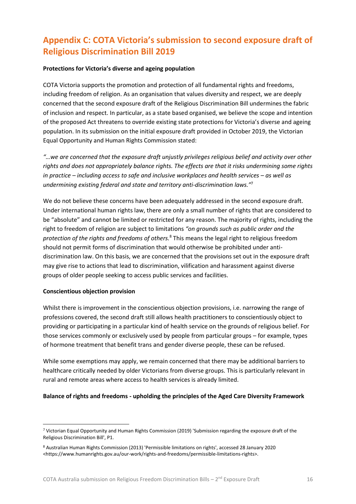# <span id="page-15-0"></span>**Appendix C: COTA Victoria's submission to second exposure draft of Religious Discrimination Bill 2019**

#### **Protections for Victoria's diverse and ageing population**

COTA Victoria supports the promotion and protection of all fundamental rights and freedoms, including freedom of religion. As an organisation that values diversity and respect, we are deeply concerned that the second exposure draft of the Religious Discrimination Bill undermines the fabric of inclusion and respect. In particular, as a state based organised, we believe the scope and intention of the proposed Act threatens to override existing state protections for Victoria's diverse and ageing population. In its submission on the initial exposure draft provided in October 2019, the Victorian Equal Opportunity and Human Rights Commission stated:

*"…we are concerned that the exposure draft unjustly privileges religious belief and activity over other rights and does not appropriately balance rights. The effects are that it risks undermining some rights in practice – including access to safe and inclusive workplaces and health services – as well as undermining existing federal and state and territory anti-discrimination laws."*<sup>7</sup>

We do not believe these concerns have been adequately addressed in the second exposure draft. Under international human rights law, there are only a small number of rights that are considered to be "absolute" and cannot be limited or restricted for any reason. The majority of rights, including the right to freedom of religion are subject to limitations *"on grounds such as public order and the protection of the rights and freedoms of others.*<sup>8</sup> This means the legal right to religious freedom should not permit forms of discrimination that would otherwise be prohibited under antidiscrimination law. On this basis, we are concerned that the provisions set out in the exposure draft may give rise to actions that lead to discrimination, vilification and harassment against diverse groups of older people seeking to access public services and facilities.

#### **Conscientious objection provision**

Whilst there is improvement in the conscientious objection provisions, i.e. narrowing the range of professions covered, the second draft still allows health practitioners to conscientiously object to providing or participating in a particular kind of health service on the grounds of religious belief. For those services commonly or exclusively used by people from particular groups – for example, types of hormone treatment that benefit trans and gender diverse people, these can be refused.

While some exemptions may apply, we remain concerned that there may be additional barriers to healthcare critically needed by older Victorians from diverse groups. This is particularly relevant in rural and remote areas where access to health services is already limited.

#### **Balance of rights and freedoms - upholding the principles of the Aged Care Diversity Framework**

<sup>7</sup> Victorian Equal Opportunity and Human Rights Commission (2019) 'Submission regarding the exposure draft of the Religious Discrimination Bill', P1.

<sup>8</sup> Australian Human Rights Commission (2013) 'Permissible limitations on rights', accessed 28 January 2020 <https://www.humanrights.gov.au/our-work/rights-and-freedoms/permissible-limitations-rights>.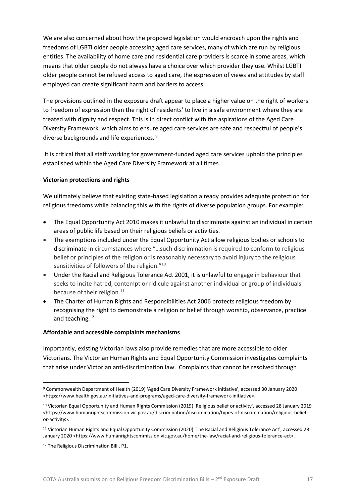We are also concerned about how the proposed legislation would encroach upon the rights and freedoms of LGBTI older people accessing aged care services, many of which are run by religious entities. The availability of home care and residential care providers is scarce in some areas, which means that older people do not always have a choice over which provider they use. Whilst LGBTI older people cannot be refused access to aged care, the expression of views and attitudes by staff employed can create significant harm and barriers to access.

The provisions outlined in the exposure draft appear to place a higher value on the right of workers to freedom of expression than the right of residents' to live in a safe environment where they are treated with dignity and respect. This is in direct conflict with the aspirations of the Aged Care Diversity Framework, which aims to ensure aged care services are safe and respectful of people's diverse backgrounds and life experiences. <sup>9</sup>

It is critical that all staff working for government-funded aged care services uphold the principles established within the Aged Care Diversity Framework at all times.

#### **Victorian protections and rights**

We ultimately believe that existing state-based legislation already provides adequate protection for religious freedoms while balancing this with the rights of diverse population groups. For example:

- The Equal Opportunity Act 2010 makes it unlawful to discriminate against an individual in certain areas of public life based on their religious beliefs or activities.
- The exemptions included under the Equal Opportunity Act allow religious bodies or schools to discriminate in circumstances where "…such discrimination is required to conform to religious belief or principles of the religion or is reasonably necessary to avoid injury to the religious sensitivities of followers of the religion."<sup>10</sup>
- Under the Racial and Religious Tolerance Act 2001, it is unlawful to engage in behaviour that seeks to incite hatred, contempt or ridicule against another individual or group of individuals because of their religion.<sup>11</sup>
- The Charter of Human Rights and Responsibilities Act 2006 protects religious freedom by recognising the right to demonstrate a religion or belief through worship, observance, practice and teaching.<sup>12</sup>

#### **Affordable and accessible complaints mechanisms**

Importantly, existing Victorian laws also provide remedies that are more accessible to older Victorians. The Victorian Human Rights and Equal Opportunity Commission investigates complaints that arise under Victorian anti-discrimination law. Complaints that cannot be resolved through

<sup>9</sup> Commonwealth Department of Health (2019) 'Aged Care Diversity Framework initiative', accessed 30 January 2020 <https://www.health.gov.au/initiatives-and-programs/aged-care-diversity-framework-initiative>.

<sup>10</sup> Victorian Equal Opportunity and Human Rights Commission (2019) 'Religious belief or activity', accessed 28 January 2019 <https://www.humanrightscommission.vic.gov.au/discrimination/discrimination/types-of-discrimination/religious-beliefor-activity>.

<sup>11</sup> Victorian Human Rights and Equal Opportunity Commission (2020) 'The Racial and Religious Tolerance Act', accessed 28 January 2020 <https://www.humanrightscommission.vic.gov.au/home/the-law/racial-and-religious-tolerance-act>.

<sup>12</sup> The Religious Discrimination Bill', P1.